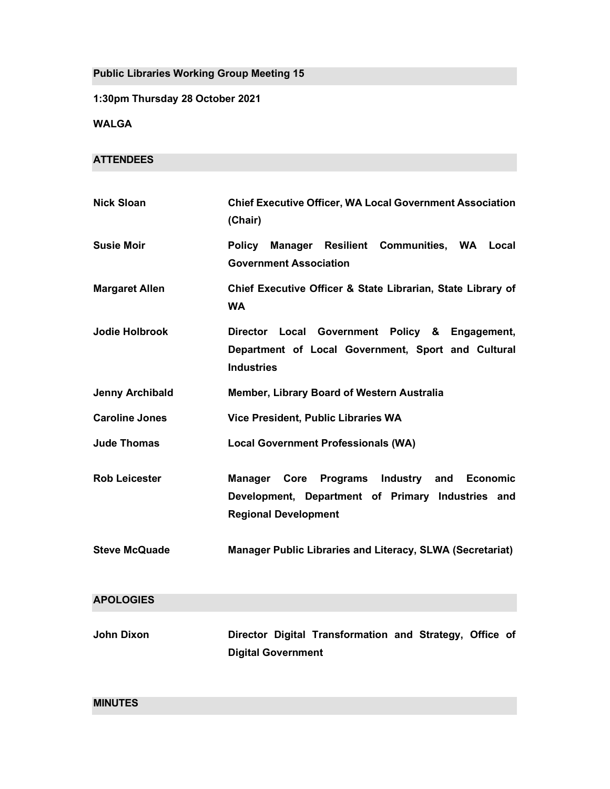Public Libraries Working Group Meeting 15

1:30pm Thursday 28 October 2021

WALGA

### **ATTENDEES**

| <b>Nick Sloan</b>      | <b>Chief Executive Officer, WA Local Government Association</b><br>(Chair)                                                                   |
|------------------------|----------------------------------------------------------------------------------------------------------------------------------------------|
| <b>Susie Moir</b>      | Policy Manager Resilient Communities, WA Local<br><b>Government Association</b>                                                              |
| <b>Margaret Allen</b>  | Chief Executive Officer & State Librarian, State Library of<br><b>WA</b>                                                                     |
| <b>Jodie Holbrook</b>  | Director Local Government Policy & Engagement,<br>Department of Local Government, Sport and Cultural<br><b>Industries</b>                    |
| <b>Jenny Archibald</b> | Member, Library Board of Western Australia                                                                                                   |
| <b>Caroline Jones</b>  | Vice President, Public Libraries WA                                                                                                          |
| <b>Jude Thomas</b>     | <b>Local Government Professionals (WA)</b>                                                                                                   |
| <b>Rob Leicester</b>   | Manager Core Programs Industry<br>and<br><b>Economic</b><br>Development, Department of Primary Industries and<br><b>Regional Development</b> |
| <b>Steve McQuade</b>   | Manager Public Libraries and Literacy, SLWA (Secretariat)                                                                                    |
| <b>APOLOGIES</b>       |                                                                                                                                              |
| <b>John Dixon</b>      | Director Digital Transformation and Strategy, Office of<br><b>Digital Government</b>                                                         |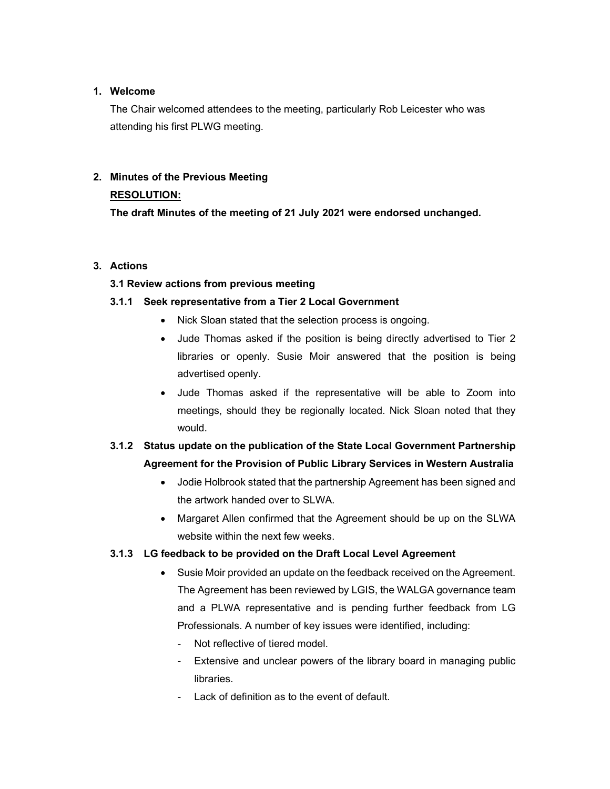### 1. Welcome

The Chair welcomed attendees to the meeting, particularly Rob Leicester who was attending his first PLWG meeting.

# 2. Minutes of the Previous Meeting

# RESOLUTION:

The draft Minutes of the meeting of 21 July 2021 were endorsed unchanged.

### 3. Actions

### 3.1 Review actions from previous meeting

### 3.1.1 Seek representative from a Tier 2 Local Government

- Nick Sloan stated that the selection process is ongoing.
- Jude Thomas asked if the position is being directly advertised to Tier 2 libraries or openly. Susie Moir answered that the position is being advertised openly.
- Jude Thomas asked if the representative will be able to Zoom into meetings, should they be regionally located. Nick Sloan noted that they would.

# 3.1.2 Status update on the publication of the State Local Government Partnership Agreement for the Provision of Public Library Services in Western Australia

- Jodie Holbrook stated that the partnership Agreement has been signed and the artwork handed over to SLWA.
- Margaret Allen confirmed that the Agreement should be up on the SLWA website within the next few weeks.

# 3.1.3 LG feedback to be provided on the Draft Local Level Agreement

- Susie Moir provided an update on the feedback received on the Agreement. The Agreement has been reviewed by LGIS, the WALGA governance team and a PLWA representative and is pending further feedback from LG Professionals. A number of key issues were identified, including:
	- Not reflective of tiered model.
	- Extensive and unclear powers of the library board in managing public libraries.
	- Lack of definition as to the event of default.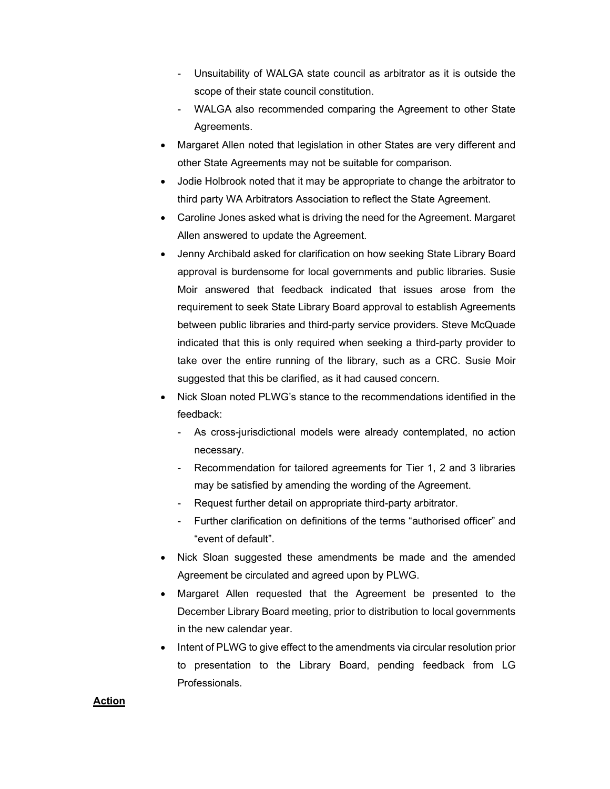- Unsuitability of WALGA state council as arbitrator as it is outside the scope of their state council constitution.
- WALGA also recommended comparing the Agreement to other State Agreements.
- Margaret Allen noted that legislation in other States are very different and other State Agreements may not be suitable for comparison.
- Jodie Holbrook noted that it may be appropriate to change the arbitrator to third party WA Arbitrators Association to reflect the State Agreement.
- Caroline Jones asked what is driving the need for the Agreement. Margaret Allen answered to update the Agreement.
- Jenny Archibald asked for clarification on how seeking State Library Board approval is burdensome for local governments and public libraries. Susie Moir answered that feedback indicated that issues arose from the requirement to seek State Library Board approval to establish Agreements between public libraries and third-party service providers. Steve McQuade indicated that this is only required when seeking a third-party provider to take over the entire running of the library, such as a CRC. Susie Moir suggested that this be clarified, as it had caused concern.
- Nick Sloan noted PLWG's stance to the recommendations identified in the feedback:
	- As cross-jurisdictional models were already contemplated, no action necessary.
	- Recommendation for tailored agreements for Tier 1, 2 and 3 libraries may be satisfied by amending the wording of the Agreement.
	- Request further detail on appropriate third-party arbitrator.
	- Further clarification on definitions of the terms "authorised officer" and "event of default".
- Nick Sloan suggested these amendments be made and the amended Agreement be circulated and agreed upon by PLWG.
- Margaret Allen requested that the Agreement be presented to the December Library Board meeting, prior to distribution to local governments in the new calendar year.
- Intent of PLWG to give effect to the amendments via circular resolution prior to presentation to the Library Board, pending feedback from LG Professionals.

### Action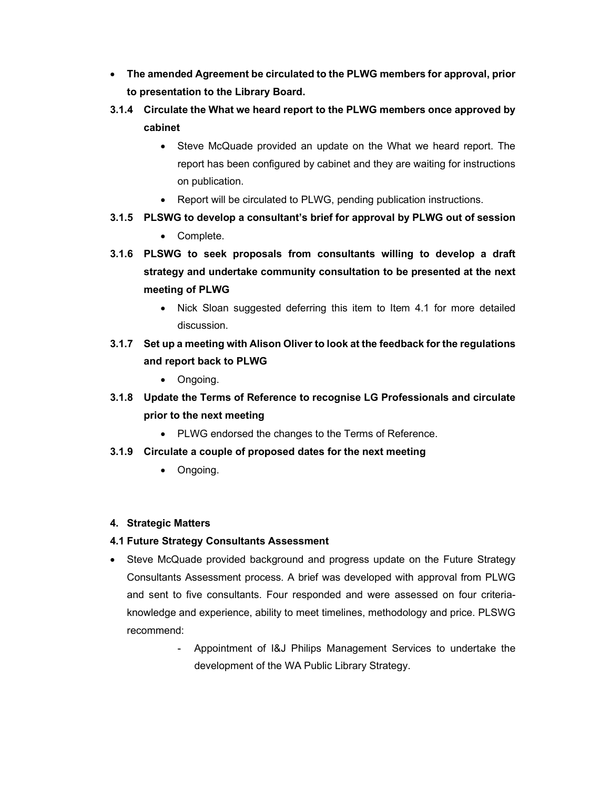- The amended Agreement be circulated to the PLWG members for approval, prior to presentation to the Library Board.
- 3.1.4 Circulate the What we heard report to the PLWG members once approved by cabinet
	- Steve McQuade provided an update on the What we heard report. The report has been configured by cabinet and they are waiting for instructions on publication.
	- Report will be circulated to PLWG, pending publication instructions.
- 3.1.5 PLSWG to develop a consultant's brief for approval by PLWG out of session
	- Complete.
- 3.1.6 PLSWG to seek proposals from consultants willing to develop a draft strategy and undertake community consultation to be presented at the next meeting of PLWG
	- Nick Sloan suggested deferring this item to Item 4.1 for more detailed discussion.
- 3.1.7 Set up a meeting with Alison Oliver to look at the feedback for the regulations and report back to PLWG
	- Ongoing.
- 3.1.8 Update the Terms of Reference to recognise LG Professionals and circulate prior to the next meeting
	- PLWG endorsed the changes to the Terms of Reference.
- 3.1.9 Circulate a couple of proposed dates for the next meeting
	- Ongoing.

### 4. Strategic Matters

# 4.1 Future Strategy Consultants Assessment

- Steve McQuade provided background and progress update on the Future Strategy Consultants Assessment process. A brief was developed with approval from PLWG and sent to five consultants. Four responded and were assessed on four criteriaknowledge and experience, ability to meet timelines, methodology and price. PLSWG recommend:
	- Appointment of I&J Philips Management Services to undertake the development of the WA Public Library Strategy.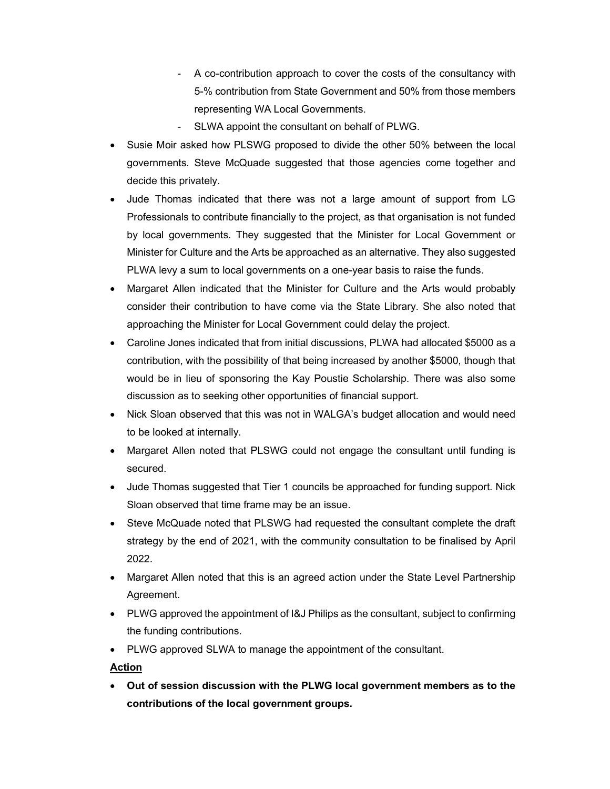- A co-contribution approach to cover the costs of the consultancy with 5-% contribution from State Government and 50% from those members representing WA Local Governments.
- SLWA appoint the consultant on behalf of PLWG.
- Susie Moir asked how PLSWG proposed to divide the other 50% between the local governments. Steve McQuade suggested that those agencies come together and decide this privately.
- Jude Thomas indicated that there was not a large amount of support from LG Professionals to contribute financially to the project, as that organisation is not funded by local governments. They suggested that the Minister for Local Government or Minister for Culture and the Arts be approached as an alternative. They also suggested PLWA levy a sum to local governments on a one-year basis to raise the funds.
- Margaret Allen indicated that the Minister for Culture and the Arts would probably consider their contribution to have come via the State Library. She also noted that approaching the Minister for Local Government could delay the project.
- Caroline Jones indicated that from initial discussions, PLWA had allocated \$5000 as a contribution, with the possibility of that being increased by another \$5000, though that would be in lieu of sponsoring the Kay Poustie Scholarship. There was also some discussion as to seeking other opportunities of financial support.
- Nick Sloan observed that this was not in WALGA's budget allocation and would need to be looked at internally.
- Margaret Allen noted that PLSWG could not engage the consultant until funding is secured.
- Jude Thomas suggested that Tier 1 councils be approached for funding support. Nick Sloan observed that time frame may be an issue.
- Steve McQuade noted that PLSWG had requested the consultant complete the draft strategy by the end of 2021, with the community consultation to be finalised by April 2022.
- Margaret Allen noted that this is an agreed action under the State Level Partnership Agreement.
- PLWG approved the appointment of I&J Philips as the consultant, subject to confirming the funding contributions.
- PLWG approved SLWA to manage the appointment of the consultant.

# Action

 Out of session discussion with the PLWG local government members as to the contributions of the local government groups.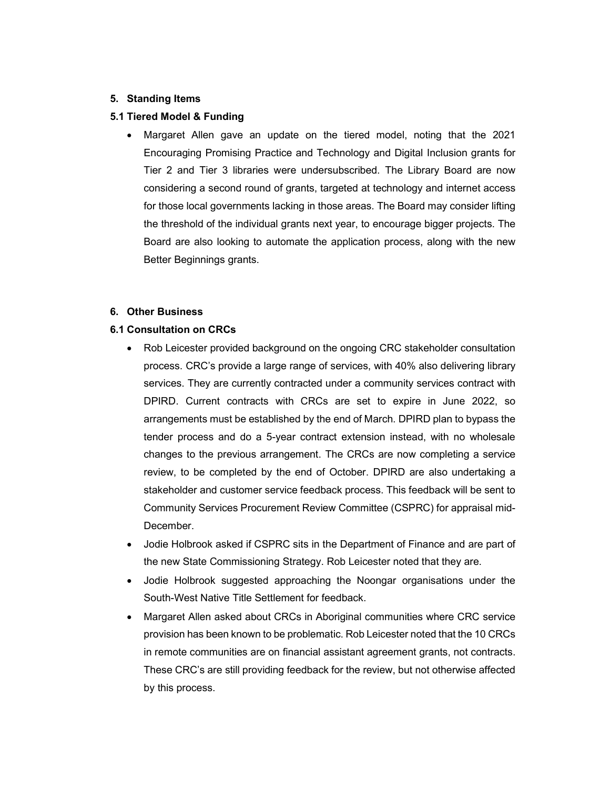#### 5. Standing Items

#### 5.1 Tiered Model & Funding

 Margaret Allen gave an update on the tiered model, noting that the 2021 Encouraging Promising Practice and Technology and Digital Inclusion grants for Tier 2 and Tier 3 libraries were undersubscribed. The Library Board are now considering a second round of grants, targeted at technology and internet access for those local governments lacking in those areas. The Board may consider lifting the threshold of the individual grants next year, to encourage bigger projects. The Board are also looking to automate the application process, along with the new Better Beginnings grants.

#### 6. Other Business

#### 6.1 Consultation on CRCs

- Rob Leicester provided background on the ongoing CRC stakeholder consultation process. CRC's provide a large range of services, with 40% also delivering library services. They are currently contracted under a community services contract with DPIRD. Current contracts with CRCs are set to expire in June 2022, so arrangements must be established by the end of March. DPIRD plan to bypass the tender process and do a 5-year contract extension instead, with no wholesale changes to the previous arrangement. The CRCs are now completing a service review, to be completed by the end of October. DPIRD are also undertaking a stakeholder and customer service feedback process. This feedback will be sent to Community Services Procurement Review Committee (CSPRC) for appraisal mid-December.
- Jodie Holbrook asked if CSPRC sits in the Department of Finance and are part of the new State Commissioning Strategy. Rob Leicester noted that they are.
- Jodie Holbrook suggested approaching the Noongar organisations under the South-West Native Title Settlement for feedback.
- Margaret Allen asked about CRCs in Aboriginal communities where CRC service provision has been known to be problematic. Rob Leicester noted that the 10 CRCs in remote communities are on financial assistant agreement grants, not contracts. These CRC's are still providing feedback for the review, but not otherwise affected by this process.